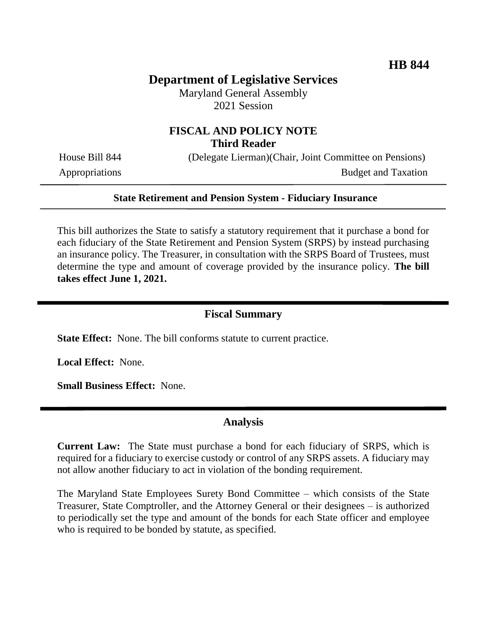# **Department of Legislative Services**

Maryland General Assembly 2021 Session

## **FISCAL AND POLICY NOTE Third Reader**

House Bill 844 (Delegate Lierman)(Chair, Joint Committee on Pensions) Appropriations Budget and Taxation

#### **State Retirement and Pension System - Fiduciary Insurance**

This bill authorizes the State to satisfy a statutory requirement that it purchase a bond for each fiduciary of the State Retirement and Pension System (SRPS) by instead purchasing an insurance policy. The Treasurer, in consultation with the SRPS Board of Trustees, must determine the type and amount of coverage provided by the insurance policy. **The bill takes effect June 1, 2021.** 

#### **Fiscal Summary**

**State Effect:** None. The bill conforms statute to current practice.

**Local Effect:** None.

**Small Business Effect:** None.

### **Analysis**

**Current Law:** The State must purchase a bond for each fiduciary of SRPS, which is required for a fiduciary to exercise custody or control of any SRPS assets. A fiduciary may not allow another fiduciary to act in violation of the bonding requirement.

The Maryland State Employees Surety Bond Committee – which consists of the State Treasurer, State Comptroller, and the Attorney General or their designees – is authorized to periodically set the type and amount of the bonds for each State officer and employee who is required to be bonded by statute, as specified.